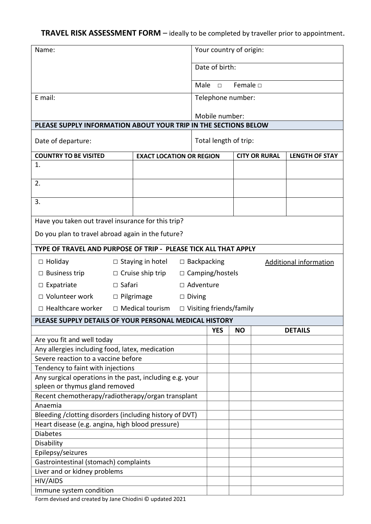## **TRAVEL RISK ASSESSMENT FORM** – ideally to be completed by traveller prior to appointment.

| Name:                                                                    |                                      |                                               |                                 | Your country of origin:    |                      |  |                               |
|--------------------------------------------------------------------------|--------------------------------------|-----------------------------------------------|---------------------------------|----------------------------|----------------------|--|-------------------------------|
|                                                                          |                                      |                                               |                                 | Date of birth:             |                      |  |                               |
|                                                                          |                                      |                                               |                                 | Female D<br>Male<br>$\Box$ |                      |  |                               |
| E mail:                                                                  |                                      |                                               |                                 | Telephone number:          |                      |  |                               |
|                                                                          |                                      |                                               |                                 | Mobile number:             |                      |  |                               |
| PLEASE SUPPLY INFORMATION ABOUT YOUR TRIP IN THE SECTIONS BELOW          |                                      |                                               |                                 |                            |                      |  |                               |
| Date of departure:                                                       |                                      |                                               | Total length of trip:           |                            |                      |  |                               |
| <b>COUNTRY TO BE VISITED</b>                                             |                                      |                                               | <b>EXACT LOCATION OR REGION</b> |                            | <b>CITY OR RURAL</b> |  | <b>LENGTH OF STAY</b>         |
| 1.                                                                       |                                      |                                               |                                 |                            |                      |  |                               |
| 2.                                                                       |                                      |                                               |                                 |                            |                      |  |                               |
| 3.                                                                       |                                      |                                               |                                 |                            |                      |  |                               |
| Have you taken out travel insurance for this trip?                       |                                      |                                               |                                 |                            |                      |  |                               |
| Do you plan to travel abroad again in the future?                        |                                      |                                               |                                 |                            |                      |  |                               |
| TYPE OF TRAVEL AND PURPOSE OF TRIP - PLEASE TICK ALL THAT APPLY          |                                      |                                               |                                 |                            |                      |  |                               |
| $\Box$ Holiday                                                           |                                      | $\Box$ Staying in hotel<br>$\Box$ Backpacking |                                 |                            |                      |  | <b>Additional information</b> |
| $\Box$ Business trip                                                     | $\Box$ Cruise ship trip              |                                               |                                 | $\Box$ Camping/hostels     |                      |  |                               |
| Expatriate                                                               | $\Box$ Safari                        |                                               |                                 | □ Adventure                |                      |  |                               |
| □ Volunteer work                                                         |                                      | $\Box$ Pilgrimage                             | $\Box$ Diving                   |                            |                      |  |                               |
| $\Box$ Healthcare worker                                                 |                                      | $\Box$ Medical tourism                        | $\Box$ Visiting friends/family  |                            |                      |  |                               |
| PLEASE SUPPLY DETAILS OF YOUR PERSONAL MEDICAL HISTORY                   |                                      |                                               |                                 |                            |                      |  |                               |
|                                                                          |                                      |                                               |                                 | <b>YES</b>                 | <b>NO</b>            |  | <b>DETAILS</b>                |
| Are you fit and well today                                               |                                      |                                               |                                 |                            |                      |  |                               |
| Any allergies including food, latex, medication                          |                                      |                                               |                                 |                            |                      |  |                               |
| Severe reaction to a vaccine before<br>Tendency to faint with injections |                                      |                                               |                                 |                            |                      |  |                               |
| Any surgical operations in the past, including e.g. your                 |                                      |                                               |                                 |                            |                      |  |                               |
| spleen or thymus gland removed                                           |                                      |                                               |                                 |                            |                      |  |                               |
| Recent chemotherapy/radiotherapy/organ transplant                        |                                      |                                               |                                 |                            |                      |  |                               |
| Anaemia                                                                  |                                      |                                               |                                 |                            |                      |  |                               |
| Bleeding / clotting disorders (including history of DVT)                 |                                      |                                               |                                 |                            |                      |  |                               |
| Heart disease (e.g. angina, high blood pressure)                         |                                      |                                               |                                 |                            |                      |  |                               |
| <b>Diabetes</b>                                                          |                                      |                                               |                                 |                            |                      |  |                               |
| Disability<br>Epilepsy/seizures                                          |                                      |                                               |                                 |                            |                      |  |                               |
| Gastrointestinal (stomach) complaints                                    |                                      |                                               |                                 |                            |                      |  |                               |
| Liver and or kidney problems                                             |                                      |                                               |                                 |                            |                      |  |                               |
| HIV/AIDS                                                                 |                                      |                                               |                                 |                            |                      |  |                               |
| Immune system condition                                                  | atad hu lana Chiadini @ undatad 2021 |                                               |                                 |                            |                      |  |                               |

Form devised and created by Jane Chiodini © updated 2021